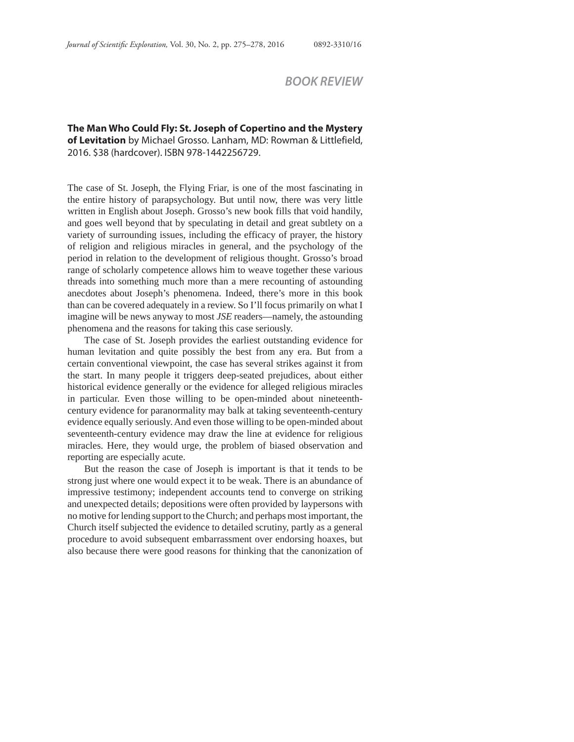## *BOOK REVIEW*

**The Man Who Could Fly: St. Joseph of Copertino and the Mystery of Levitation** by Michael Grosso. Lanham, MD: Rowman & Littlefield, 2016. \$38 (hardcover). ISBN 978-1442256729.

The case of St. Joseph, the Flying Friar, is one of the most fascinating in the entire history of parapsychology. But until now, there was very little written in English about Joseph. Grosso's new book fills that void handily, and goes well beyond that by speculating in detail and great subtlety on a variety of surrounding issues, including the efficacy of prayer, the history of religion and religious miracles in general, and the psychology of the period in relation to the development of religious thought. Grosso's broad range of scholarly competence allows him to weave together these various threads into something much more than a mere recounting of astounding anecdotes about Joseph's phenomena. Indeed, there's more in this book than can be covered adequately in a review. So I'll focus primarily on what I imagine will be news anyway to most *JSE* readers—namely, the astounding phenomena and the reasons for taking this case seriously.

The case of St. Joseph provides the earliest outstanding evidence for human levitation and quite possibly the best from any era. But from a certain conventional viewpoint, the case has several strikes against it from the start. In many people it triggers deep-seated prejudices, about either historical evidence generally or the evidence for alleged religious miracles in particular. Even those willing to be open-minded about nineteenthcentury evidence for paranormality may balk at taking seventeenth-century evidence equally seriously. And even those willing to be open-minded about seventeenth-century evidence may draw the line at evidence for religious miracles. Here, they would urge, the problem of biased observation and reporting are especially acute.

But the reason the case of Joseph is important is that it tends to be strong just where one would expect it to be weak. There is an abundance of impressive testimony; independent accounts tend to converge on striking and unexpected details; depositions were often provided by laypersons with no motive for lending support to the Church; and perhaps most important, the Church itself subjected the evidence to detailed scrutiny, partly as a general procedure to avoid subsequent embarrassment over endorsing hoaxes, but also because there were good reasons for thinking that the canonization of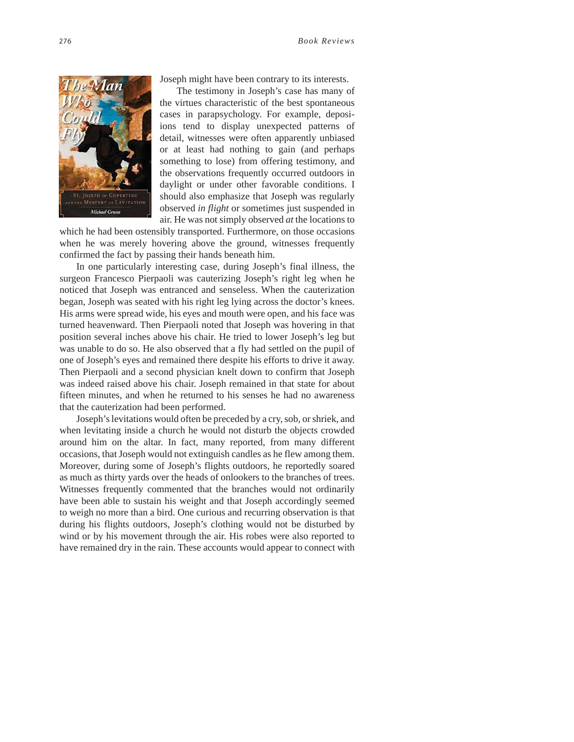

Joseph might have been contrary to its interests.

The testimony in Joseph's case has many of the virtues characteristic of the best spontaneous cases in parapsychology. For example, deposiions tend to display unexpected patterns of detail, witnesses were often apparently unbiased or at least had nothing to gain (and perhaps something to lose) from offering testimony, and the observations frequently occurred outdoors in daylight or under other favorable conditions. I should also emphasize that Joseph was regularly observed *in flight* or sometimes just suspended in air. He was not simply observed *at* the locations to

which he had been ostensibly transported. Furthermore, on those occasions when he was merely hovering above the ground, witnesses frequently confirmed the fact by passing their hands beneath him.

In one particularly interesting case, during Joseph's final illness, the surgeon Francesco Pierpaoli was cauterizing Joseph's right leg when he noticed that Joseph was entranced and senseless. When the cauterization began, Joseph was seated with his right leg lying across the doctor's knees. His arms were spread wide, his eyes and mouth were open, and his face was turned heavenward. Then Pierpaoli noted that Joseph was hovering in that position several inches above his chair. He tried to lower Joseph's leg but was unable to do so. He also observed that a fly had settled on the pupil of one of Joseph's eyes and remained there despite his efforts to drive it away. Then Pierpaoli and a second physician knelt down to confirm that Joseph was indeed raised above his chair. Joseph remained in that state for about fifteen minutes, and when he returned to his senses he had no awareness that the cauterization had been performed.

Joseph's levitations would often be preceded by a cry, sob, or shriek, and when levitating inside a church he would not disturb the objects crowded around him on the altar. In fact, many reported, from many different occasions, that Joseph would not extinguish candles as he flew among them. Moreover, during some of Joseph's flights outdoors, he reportedly soared as much as thirty yards over the heads of onlookers to the branches of trees. Witnesses frequently commented that the branches would not ordinarily have been able to sustain his weight and that Joseph accordingly seemed to weigh no more than a bird. One curious and recurring observation is that during his flights outdoors, Joseph's clothing would not be disturbed by wind or by his movement through the air. His robes were also reported to have remained dry in the rain. These accounts would appear to connect with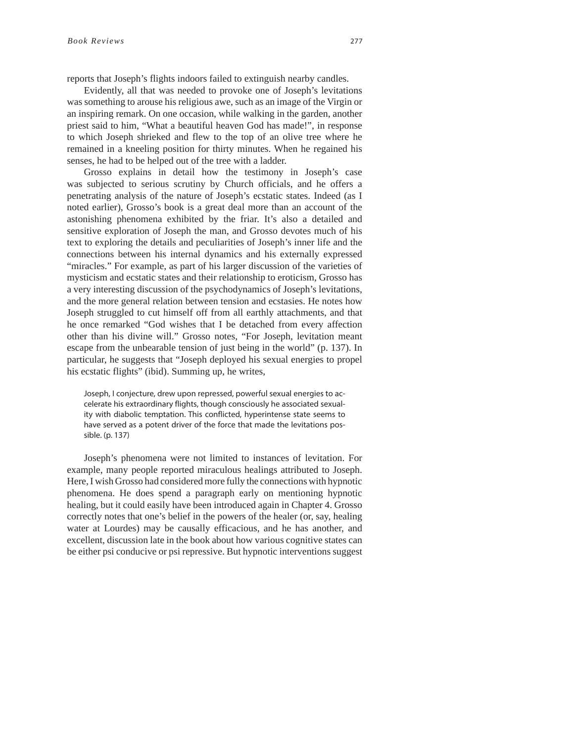reports that Joseph's flights indoors failed to extinguish nearby candles.

Evidently, all that was needed to provoke one of Joseph's levitations was something to arouse his religious awe, such as an image of the Virgin or an inspiring remark. On one occasion, while walking in the garden, another priest said to him, "What a beautiful heaven God has made!", in response to which Joseph shrieked and flew to the top of an olive tree where he remained in a kneeling position for thirty minutes. When he regained his senses, he had to be helped out of the tree with a ladder.

Grosso explains in detail how the testimony in Joseph's case was subjected to serious scrutiny by Church officials, and he offers a penetrating analysis of the nature of Joseph's ecstatic states. Indeed (as I noted earlier), Grosso's book is a great deal more than an account of the astonishing phenomena exhibited by the friar. It's also a detailed and sensitive exploration of Joseph the man, and Grosso devotes much of his text to exploring the details and peculiarities of Joseph's inner life and the connections between his internal dynamics and his externally expressed "miracles." For example, as part of his larger discussion of the varieties of mysticism and ecstatic states and their relationship to eroticism, Grosso has a very interesting discussion of the psychodynamics of Joseph's levitations, and the more general relation between tension and ecstasies. He notes how Joseph struggled to cut himself off from all earthly attachments, and that he once remarked "God wishes that I be detached from every affection other than his divine will." Grosso notes, "For Joseph, levitation meant escape from the unbearable tension of just being in the world" (p. 137). In particular, he suggests that "Joseph deployed his sexual energies to propel his ecstatic flights" (ibid). Summing up, he writes,

Joseph, I conjecture, drew upon repressed, powerful sexual energies to accelerate his extraordinary flights, though consciously he associated sexuality with diabolic temptation. This conflicted, hyperintense state seems to have served as a potent driver of the force that made the levitations possible. (p. 137)

Joseph's phenomena were not limited to instances of levitation. For example, many people reported miraculous healings attributed to Joseph. Here, I wish Grosso had considered more fully the connections with hypnotic phenomena. He does spend a paragraph early on mentioning hypnotic healing, but it could easily have been introduced again in Chapter 4. Grosso correctly notes that one's belief in the powers of the healer (or, say, healing water at Lourdes) may be causally efficacious, and he has another, and excellent, discussion late in the book about how various cognitive states can be either psi conducive or psi repressive. But hypnotic interventions suggest